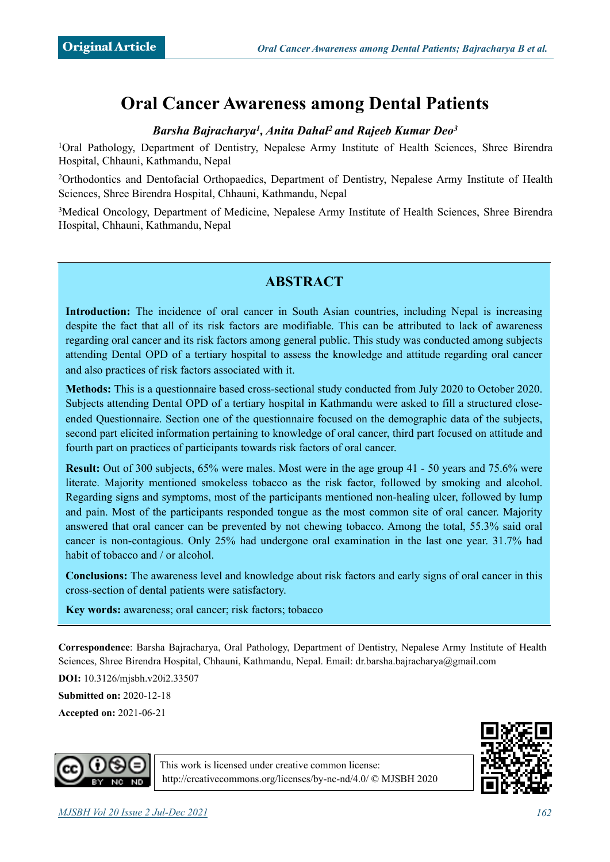# **Oral Cancer Awareness among Dental Patients**

#### *Barsha Bajracharya1, Anita Dahal2 and Rajeeb Kumar Deo3*

1Oral Pathology, Department of Dentistry, Nepalese Army Institute of Health Sciences, Shree Birendra Hospital, Chhauni, Kathmandu, Nepal

2Orthodontics and Dentofacial Orthopaedics, Department of Dentistry, Nepalese Army Institute of Health Sciences, Shree Birendra Hospital, Chhauni, Kathmandu, Nepal

<sup>3</sup>Medical Oncology, Department of Medicine, Nepalese Army Institute of Health Sciences, Shree Birendra Hospital, Chhauni, Kathmandu, Nepal

# **ABSTRACT**

**Introduction:** The incidence of oral cancer in South Asian countries, including Nepal is increasing despite the fact that all of its risk factors are modifiable. This can be attributed to lack of awareness regarding oral cancer and its risk factors among general public. This study was conducted among subjects attending Dental OPD of a tertiary hospital to assess the knowledge and attitude regarding oral cancer and also practices of risk factors associated with it.

**Methods:** This is a questionnaire based cross-sectional study conducted from July 2020 to October 2020. Subjects attending Dental OPD of a tertiary hospital in Kathmandu were asked to fill a structured closeended Questionnaire. Section one of the questionnaire focused on the demographic data of the subjects, second part elicited information pertaining to knowledge of oral cancer, third part focused on attitude and fourth part on practices of participants towards risk factors of oral cancer.

**Result:** Out of 300 subjects, 65% were males. Most were in the age group 41 - 50 years and 75.6% were literate. Majority mentioned smokeless tobacco as the risk factor, followed by smoking and alcohol. Regarding signs and symptoms, most of the participants mentioned non-healing ulcer, followed by lump and pain. Most of the participants responded tongue as the most common site of oral cancer. Majority answered that oral cancer can be prevented by not chewing tobacco. Among the total, 55.3% said oral cancer is non-contagious. Only 25% had undergone oral examination in the last one year. 31.7% had habit of tobacco and / or alcohol.

**Conclusions:** The awareness level and knowledge about risk factors and early signs of oral cancer in this cross-section of dental patients were satisfactory.

**Key words:** awareness; oral cancer; risk factors; tobacco

**Correspondence**: Barsha Bajracharya, Oral Pathology, Department of Dentistry, Nepalese Army Institute of Health Sciences, Shree Birendra Hospital, Chhauni, Kathmandu, Nepal. Email: dr.barsha.bajracharya@gmail.com

**DOI:** 10.3126/mjsbh.v20i2.33507

**Submitted on:** 2020-12-18

**Accepted on:** 2021-06-21





This work is licensed under creative common license: <http://creativecommons.org/licenses/by-nc-nd/4.0/>© MJSBH 2020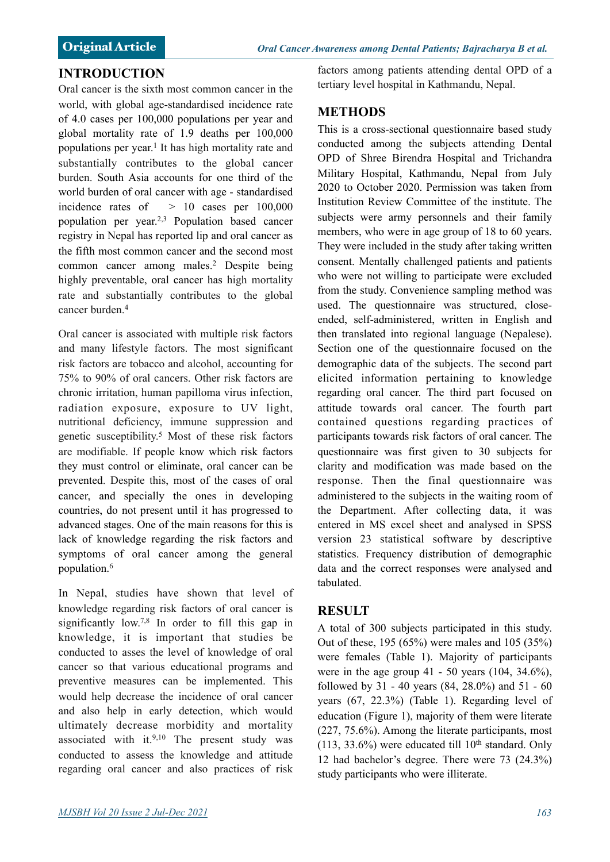# **INTRODUCTION**

Oral cancer is the sixth most common cancer in the world, with global age-standardised incidence rate of 4.0 cases per 100,000 populations per year and global mortality rate of 1.9 deaths per 100,000 populations per year.1 It has high mortality rate and substantially contributes to the global cancer burden. South Asia accounts for one third of the world burden of oral cancer with age - standardised incidence rates of  $> 10$  cases per  $100,000$ population per year.2,3 Population based cancer registry in Nepal has reported lip and oral cancer as the fifth most common cancer and the second most common cancer among males.2 Despite being highly preventable, oral cancer has high mortality rate and substantially contributes to the global cancer burden.4

Oral cancer is associated with multiple risk factors and many lifestyle factors. The most significant risk factors are tobacco and alcohol, accounting for 75% to 90% of oral cancers. Other risk factors are chronic irritation, human papilloma virus infection, radiation exposure, exposure to UV light, nutritional deficiency, immune suppression and genetic susceptibility.5 Most of these risk factors are modifiable. If people know which risk factors they must control or eliminate, oral cancer can be prevented. Despite this, most of the cases of oral cancer, and specially the ones in developing countries, do not present until it has progressed to advanced stages. One of the main reasons for this is lack of knowledge regarding the risk factors and symptoms of oral cancer among the general population.6

In Nepal, studies have shown that level of knowledge regarding risk factors of oral cancer is significantly low.<sup>7,8</sup> In order to fill this gap in knowledge, it is important that studies be conducted to asses the level of knowledge of oral cancer so that various educational programs and preventive measures can be implemented. This would help decrease the incidence of oral cancer and also help in early detection, which would ultimately decrease morbidity and mortality associated with it. $9,10$  The present study was conducted to assess the knowledge and attitude regarding oral cancer and also practices of risk factors among patients attending dental OPD of a tertiary level hospital in Kathmandu, Nepal.

# **METHODS**

This is a cross-sectional questionnaire based study conducted among the subjects attending Dental OPD of Shree Birendra Hospital and Trichandra Military Hospital, Kathmandu, Nepal from July 2020 to October 2020. Permission was taken from Institution Review Committee of the institute. The subjects were army personnels and their family members, who were in age group of 18 to 60 years. They were included in the study after taking written consent. Mentally challenged patients and patients who were not willing to participate were excluded from the study. Convenience sampling method was used. The questionnaire was structured, closeended, self-administered, written in English and then translated into regional language (Nepalese). Section one of the questionnaire focused on the demographic data of the subjects. The second part elicited information pertaining to knowledge regarding oral cancer. The third part focused on attitude towards oral cancer. The fourth part contained questions regarding practices of participants towards risk factors of oral cancer. The questionnaire was first given to 30 subjects for clarity and modification was made based on the response. Then the final questionnaire was administered to the subjects in the waiting room of the Department. After collecting data, it was entered in MS excel sheet and analysed in SPSS version 23 statistical software by descriptive statistics. Frequency distribution of demographic data and the correct responses were analysed and tabulated.

# **RESULT**

A total of 300 subjects participated in this study. Out of these, 195 (65%) were males and 105 (35%) were females (Table 1). Majority of participants were in the age group  $41 - 50$  years  $(104, 34.6\%)$ , followed by 31 - 40 years (84, 28.0%) and 51 - 60 years (67, 22.3%) (Table 1). Regarding level of education (Figure 1), majority of them were literate (227, 75.6%). Among the literate participants, most  $(113, 33.6%)$  were educated till  $10<sup>th</sup>$  standard. Only 12 had bachelor's degree. There were 73 (24.3%) study participants who were illiterate.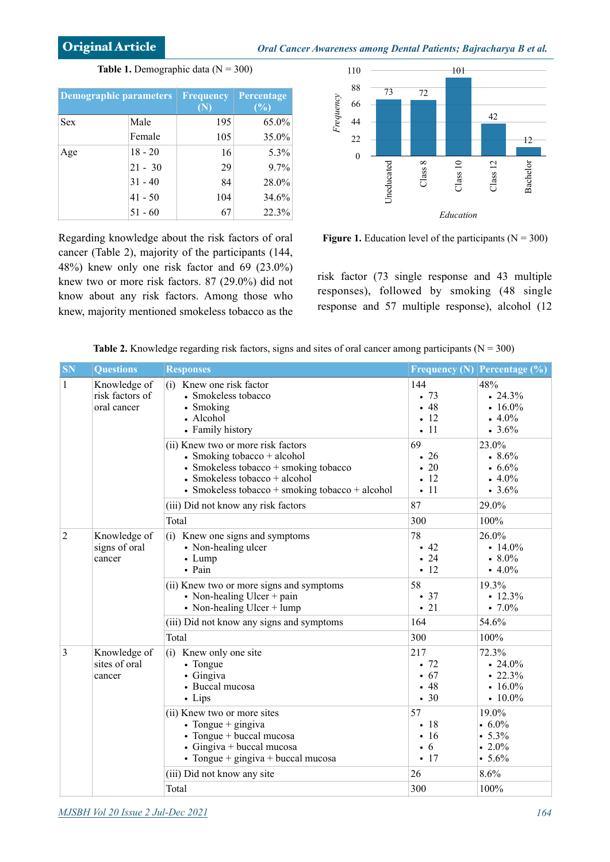**Table 1.** Demographic data  $(N = 300)$ 

| <b>Demographic parameters</b> |           | <b>Frequency</b><br>(N | Percentage<br>(%) |
|-------------------------------|-----------|------------------------|-------------------|
| <b>Sex</b>                    | Male      | 195                    | 65.0%             |
|                               | Female    | 105                    | 35.0%             |
| Age                           | $18 - 20$ | 16                     | 5.3%              |
|                               | $21 - 30$ | 29                     | $9.7\%$           |
|                               | $31 - 40$ | 84                     | 28.0%             |
|                               | $41 - 50$ | 104                    | 34.6%             |
|                               | $51 - 60$ | 67                     | 22.3%             |

Regarding knowledge about the risk factors of oral cancer (Table 2), majority of the participants (144, 48%) knew only one risk factor and 69 (23.0%) knew two or more risk factors. 87 (29.0%) did not know about any risk factors. Among those who knew, majority mentioned smokeless tobacco as the



**Figure 1.** Education level of the participants ( $N = 300$ )

risk factor (73 single response and 43 multiple responses), followed by smoking (48 single response and 57 multiple response), alcohol (12

| <b>SN</b>      | <b>Questions</b>                               | <b>Responses</b>                                                                                                                                                                                 |                                                      | <b>Frequency (N) Percentage (%)</b>                                   |
|----------------|------------------------------------------------|--------------------------------------------------------------------------------------------------------------------------------------------------------------------------------------------------|------------------------------------------------------|-----------------------------------------------------------------------|
| $\mathbf{1}$   | Knowledge of<br>risk factors of<br>oral cancer | (i) Knew one risk factor<br>• Smokeless tobacco<br>• Smoking<br>• Alcohol<br>• Family history                                                                                                    | 144<br>.73<br>•48<br>$-12$<br>$\cdot$ 11             | 48%<br>.24.3%<br>• $16.0\%$<br>$4.0\%$<br>$\cdot 3.6\%$               |
|                |                                                | (ii) Knew two or more risk factors<br>• Smoking tobacco + alcohol<br>• Smokeless tobacco $+$ smoking tobacco<br>• Smokeless tobacco + alcohol<br>• Smokeless tobacco + smoking tobacco + alcohol | 69<br>• 26<br>20<br>$\cdot$ 12<br>$\cdot$ 11         | 23.0%<br>8.6%<br>$\cdot 6.6\%$<br>$4.0\%$<br>$\cdot 3.6\%$            |
|                |                                                | (iii) Did not know any risk factors                                                                                                                                                              | 87                                                   | 29.0%                                                                 |
|                |                                                | Total                                                                                                                                                                                            | 300                                                  | 100%                                                                  |
| $\overline{2}$ | Knowledge of<br>signs of oral<br>cancer        | (i) Knew one signs and symptoms<br>• Non-healing ulcer<br>$\bullet$ Lump<br>• Pain                                                                                                               | 78<br>$\cdot$ 42<br>• 24<br>$-12$                    | 26.0%<br>• $14.0\%$<br>$\cdot 8.0\%$<br>• $4.0\%$                     |
|                |                                                | (ii) Knew two or more signs and symptoms<br>• Non-healing Ulcer + pain<br>• Non-healing Ulcer $+$ lump                                                                                           | 58<br>• 37<br>$\cdot$ 21                             | 19.3%<br>$\cdot$ 12.3%<br>$\cdot 7.0\%$                               |
|                |                                                | (iii) Did not know any signs and symptoms                                                                                                                                                        | 164                                                  | 54.6%                                                                 |
|                |                                                | Total                                                                                                                                                                                            | 300                                                  | 100%                                                                  |
| 3              | Knowledge of<br>sites of oral<br>cancer        | (i) Knew only one site<br>• Tongue<br>• Gingiva<br>• Buccal mucosa<br>• Lips                                                                                                                     | 217<br>.72<br>• 67<br>$-48$<br>.30                   | 72.3%<br>$\cdot 24.0\%$<br>$\cdot 22.3\%$<br>• $16.0\%$<br>• $10.0\%$ |
|                |                                                | (ii) Knew two or more sites<br>• Tongue $+$ gingiva<br>• Tongue + buccal mucosa<br>$\bullet$ Gingiva + buccal mucosa<br>• Tongue + $gingiva + buccal$ mucosa                                     | 57<br>$\cdot$ 18<br>$\cdot$ 16<br>$\cdot 6$<br>$-17$ | 19.0%<br>$\cdot 6.0\%$<br>• 5.3%<br>$\cdot 2.0\%$<br>$\cdot 5.6\%$    |
|                |                                                | (iii) Did not know any site                                                                                                                                                                      | 26                                                   | 8.6%                                                                  |
|                |                                                | Total                                                                                                                                                                                            | 300                                                  | 100%                                                                  |

**Table 2.** Knowledge regarding risk factors, signs and sites of oral cancer among participants ( $N = 300$ )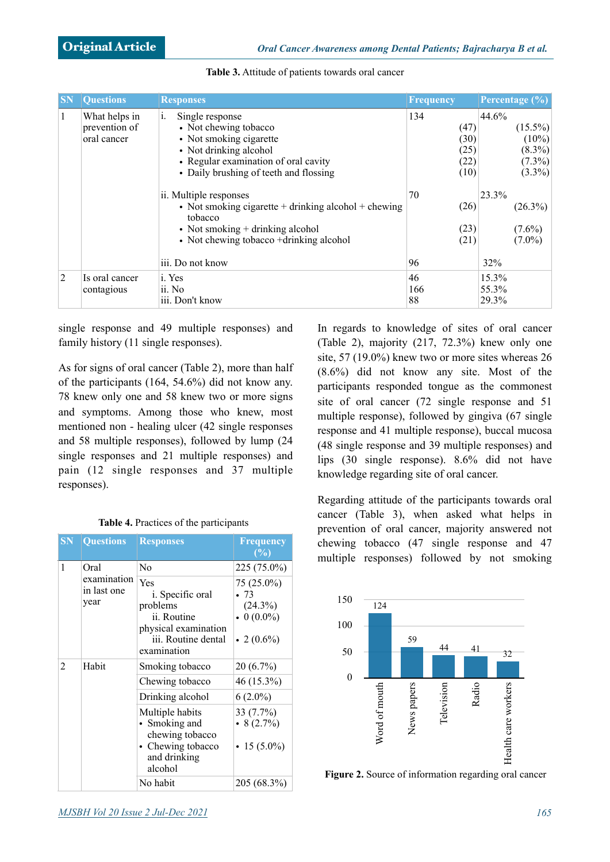| <b>SN</b>    | <b>Questions</b>                              | <b>Responses</b>                                                                                                                                                                      | <b>Frequency</b>                            | Percentage $(\% )$                                                     |
|--------------|-----------------------------------------------|---------------------------------------------------------------------------------------------------------------------------------------------------------------------------------------|---------------------------------------------|------------------------------------------------------------------------|
| $\mathbf{1}$ | What helps in<br>prevention of<br>oral cancer | Single response<br>1.<br>• Not chewing tobacco<br>• Not smoking cigarette<br>• Not drinking alcohol<br>• Regular examination of oral cavity<br>• Daily brushing of teeth and flossing | 134<br>(47)<br>(30)<br>(25)<br>(22)<br>(10) | 44.6%<br>$(15.5\%)$<br>$(10\%)$<br>$(8.3\%)$<br>$(7.3\%)$<br>$(3.3\%)$ |
|              |                                               | ii. Multiple responses<br>• Not smoking cigarette $+$ drinking alcohol $+$ chewing<br>tobacco<br>• Not smoking $+$ drinking alcohol<br>• Not chewing tobacco +drinking alcohol        | 70<br>(26)<br>(23)<br>(21)                  | 23.3%<br>$(26.3\%)$<br>$(7.6\%)$<br>$(7.0\%)$                          |
|              |                                               | iii. Do not know                                                                                                                                                                      | 96                                          | 32%                                                                    |
| 2            | Is oral cancer<br>contagious                  | i. Yes<br>ii. No<br>iii. Don't know                                                                                                                                                   | 46<br>166<br>88                             | 15.3%<br>55.3%<br>29.3%                                                |

**Table 3.** Attitude of patients towards oral cancer

single response and 49 multiple responses) and family history (11 single responses).

As for signs of oral cancer (Table 2), more than half of the participants (164, 54.6%) did not know any. 78 knew only one and 58 knew two or more signs and symptoms. Among those who knew, most mentioned non - healing ulcer (42 single responses and 58 multiple responses), followed by lump (24 single responses and 21 multiple responses) and pain (12 single responses and 37 multiple responses).

**Table 4.** Practices of the participants

| <b>SN</b> | <b>Questions</b>                   | <b>Responses</b>                                                                                                         | Frequency<br>(%)                                                       |
|-----------|------------------------------------|--------------------------------------------------------------------------------------------------------------------------|------------------------------------------------------------------------|
| 1         | Oral                               | N <sub>0</sub>                                                                                                           | 225 (75.0%)                                                            |
|           | examination<br>in last one<br>year | Yes<br><i>i</i> . Specific oral<br>problems<br>ii. Routine<br>physical examination<br>iii. Routine dental<br>examination | 75 (25.0%)<br>.73<br>$(24.3\%)$<br>$\bullet$ 0 (0.0%)<br>• 2 $(0.6\%)$ |
| 2         | Habit                              | Smoking tobacco                                                                                                          | $20(6.7\%)$                                                            |
|           |                                    | Chewing tobacco                                                                                                          | 46 (15.3%)                                                             |
|           |                                    | Drinking alcohol                                                                                                         | $6(2.0\%)$                                                             |
|           |                                    | Multiple habits<br>Smoking and<br>chewing tobacco<br>• Chewing tobacco<br>and drinking<br>alcohol                        | 33 (7.7%)<br>$\bullet$ 8 (2.7%)<br>• 15 (5.0%)                         |
|           |                                    | No habit                                                                                                                 | 205 (68.3%)                                                            |

In regards to knowledge of sites of oral cancer (Table 2), majority (217, 72.3%) knew only one site, 57 (19.0%) knew two or more sites whereas 26 (8.6%) did not know any site. Most of the participants responded tongue as the commonest site of oral cancer (72 single response and 51 multiple response), followed by gingiva (67 single response and 41 multiple response), buccal mucosa (48 single response and 39 multiple responses) and lips (30 single response). 8.6% did not have knowledge regarding site of oral cancer.

Regarding attitude of the participants towards oral cancer (Table 3), when asked what helps in prevention of oral cancer, majority answered not chewing tobacco (47 single response and 47 multiple responses) followed by not smoking



**Figure 2.** Source of information regarding oral cancer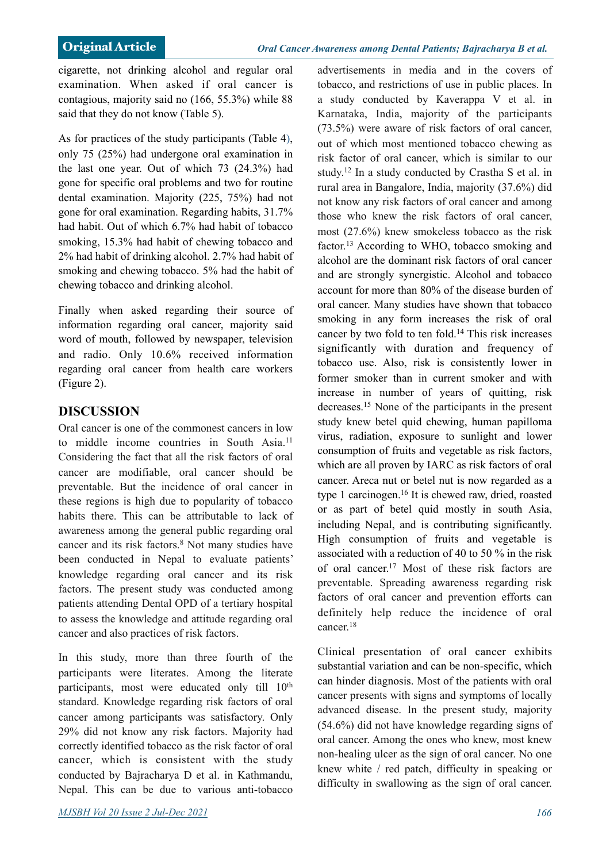cigarette, not drinking alcohol and regular oral examination. When asked if oral cancer is contagious, majority said no (166, 55.3%) while 88 said that they do not know (Table 5).

As for practices of the study participants (Table 4), only 75 (25%) had undergone oral examination in the last one year. Out of which 73 (24.3%) had gone for specific oral problems and two for routine dental examination. Majority (225, 75%) had not gone for oral examination. Regarding habits, 31.7% had habit. Out of which 6.7% had habit of tobacco smoking, 15.3% had habit of chewing tobacco and 2% had habit of drinking alcohol. 2.7% had habit of smoking and chewing tobacco. 5% had the habit of chewing tobacco and drinking alcohol.

Finally when asked regarding their source of information regarding oral cancer, majority said word of mouth, followed by newspaper, television and radio. Only 10.6% received information regarding oral cancer from health care workers (Figure 2).

### **DISCUSSION**

Oral cancer is one of the commonest cancers in low to middle income countries in South Asia.<sup>11</sup> Considering the fact that all the risk factors of oral cancer are modifiable, oral cancer should be preventable. But the incidence of oral cancer in these regions is high due to popularity of tobacco habits there. This can be attributable to lack of awareness among the general public regarding oral cancer and its risk factors.8 Not many studies have been conducted in Nepal to evaluate patients' knowledge regarding oral cancer and its risk factors. The present study was conducted among patients attending Dental OPD of a tertiary hospital to assess the knowledge and attitude regarding oral cancer and also practices of risk factors.

In this study, more than three fourth of the participants were literates. Among the literate participants, most were educated only till 10<sup>th</sup> standard. Knowledge regarding risk factors of oral cancer among participants was satisfactory. Only 29% did not know any risk factors. Majority had correctly identified tobacco as the risk factor of oral cancer, which is consistent with the study conducted by Bajracharya D et al. in Kathmandu, Nepal. This can be due to various anti-tobacco

*MJSBH Vol 20 Issue 2 Jul-Dec 2021 166*

advertisements in media and in the covers of tobacco, and restrictions of use in public places. In a study conducted by Kaverappa V et al. in Karnataka, India, majority of the participants (73.5%) were aware of risk factors of oral cancer, out of which most mentioned tobacco chewing as risk factor of oral cancer, which is similar to our study.12 In a study conducted by Crastha S et al. in rural area in Bangalore, India, majority (37.6%) did not know any risk factors of oral cancer and among those who knew the risk factors of oral cancer, most (27.6%) knew smokeless tobacco as the risk factor.13 According to WHO, tobacco smoking and alcohol are the dominant risk factors of oral cancer and are strongly synergistic. Alcohol and tobacco account for more than 80% of the disease burden of oral cancer. Many studies have shown that tobacco smoking in any form increases the risk of oral cancer by two fold to ten fold.14 This risk increases significantly with duration and frequency of tobacco use. Also, risk is consistently lower in former smoker than in current smoker and with increase in number of years of quitting, risk decreases.15 None of the participants in the present study knew betel quid chewing, human papilloma virus, radiation, exposure to sunlight and lower consumption of fruits and vegetable as risk factors, which are all proven by IARC as risk factors of oral cancer. Areca nut or betel nut is now regarded as a type 1 carcinogen.16 It is chewed raw, dried, roasted or as part of betel quid mostly in south Asia, including Nepal, and is contributing significantly. High consumption of fruits and vegetable is associated with a reduction of 40 to 50 % in the risk of oral cancer.17 Most of these risk factors are preventable. Spreading awareness regarding risk factors of oral cancer and prevention efforts can definitely help reduce the incidence of oral cancer<sup>18</sup>

Clinical presentation of oral cancer exhibits substantial variation and can be non-specific, which can hinder diagnosis. Most of the patients with oral cancer presents with signs and symptoms of locally advanced disease. In the present study, majority (54.6%) did not have knowledge regarding signs of oral cancer. Among the ones who knew, most knew non-healing ulcer as the sign of oral cancer. No one knew white / red patch, difficulty in speaking or difficulty in swallowing as the sign of oral cancer.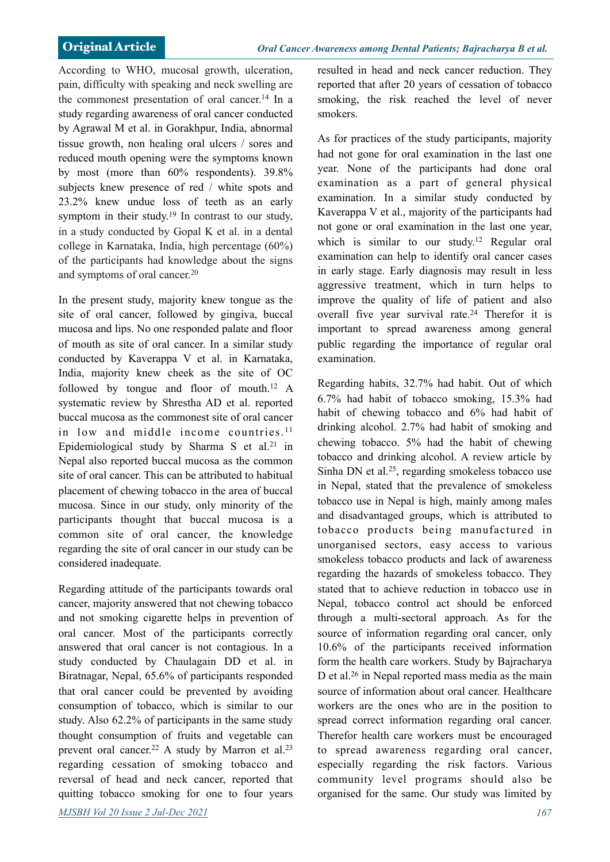According to WHO, mucosal growth, ulceration, pain, difficulty with speaking and neck swelling are the commonest presentation of oral cancer.<sup>14</sup> In a study regarding awareness of oral cancer conducted by Agrawal M et al. in Gorakhpur, India, abnormal tissue growth, non healing oral ulcers / sores and reduced mouth opening were the symptoms known by most (more than 60% respondents). 39.8% subjects knew presence of red / white spots and 23.2% knew undue loss of teeth as an early symptom in their study.<sup>19</sup> In contrast to our study, in a study conducted by Gopal K et al. in a dental college in Karnataka, India, high percentage (60%) of the participants had knowledge about the signs and symptoms of oral cancer.20

In the present study, majority knew tongue as the site of oral cancer, followed by gingiva, buccal mucosa and lips. No one responded palate and floor of mouth as site of oral cancer. In a similar study conducted by Kaverappa V et al. in Karnataka, India, majority knew cheek as the site of OC followed by tongue and floor of mouth.12 A systematic review by Shrestha AD et al. reported buccal mucosa as the commonest site of oral cancer in low and middle income countries.<sup>11</sup> Epidemiological study by Sharma S et al.<sup>21</sup> in Nepal also reported buccal mucosa as the common site of oral cancer. This can be attributed to habitual placement of chewing tobacco in the area of buccal mucosa. Since in our study, only minority of the participants thought that buccal mucosa is a common site of oral cancer, the knowledge regarding the site of oral cancer in our study can be considered inadequate.

Regarding attitude of the participants towards oral cancer, majority answered that not chewing tobacco and not smoking cigarette helps in prevention of oral cancer. Most of the participants correctly answered that oral cancer is not contagious. In a study conducted by Chaulagain DD et al. in Biratnagar, Nepal, 65.6% of participants responded that oral cancer could be prevented by avoiding consumption of tobacco, which is similar to our study. Also 62.2% of participants in the same study thought consumption of fruits and vegetable can prevent oral cancer.<sup>22</sup> A study by Marron et al.<sup>23</sup> regarding cessation of smoking tobacco and reversal of head and neck cancer, reported that quitting tobacco smoking for one to four years *MJSBH Vol 20 Issue 2 Jul-Dec 2021 167*

resulted in head and neck cancer reduction. They reported that after 20 years of cessation of tobacco smoking, the risk reached the level of never smokers.

As for practices of the study participants, majority had not gone for oral examination in the last one year. None of the participants had done oral examination as a part of general physical examination. In a similar study conducted by Kaverappa V et al., majority of the participants had not gone or oral examination in the last one year, which is similar to our study.<sup>12</sup> Regular oral examination can help to identify oral cancer cases in early stage. Early diagnosis may result in less aggressive treatment, which in turn helps to improve the quality of life of patient and also overall five year survival rate.24 Therefor it is important to spread awareness among general public regarding the importance of regular oral examination.

Regarding habits, 32.7% had habit. Out of which 6.7% had habit of tobacco smoking, 15.3% had habit of chewing tobacco and 6% had habit of drinking alcohol. 2.7% had habit of smoking and chewing tobacco. 5% had the habit of chewing tobacco and drinking alcohol. A review article by Sinha DN et al.<sup>25</sup>, regarding smokeless tobacco use in Nepal, stated that the prevalence of smokeless tobacco use in Nepal is high, mainly among males and disadvantaged groups, which is attributed to tobacco products being manufactured in unorganised sectors, easy access to various smokeless tobacco products and lack of awareness regarding the hazards of smokeless tobacco. They stated that to achieve reduction in tobacco use in Nepal, tobacco control act should be enforced through a multi-sectoral approach. As for the source of information regarding oral cancer, only 10.6% of the participants received information form the health care workers. Study by Bajracharya D et al.26 in Nepal reported mass media as the main source of information about oral cancer. Healthcare workers are the ones who are in the position to spread correct information regarding oral cancer. Therefor health care workers must be encouraged to spread awareness regarding oral cancer, especially regarding the risk factors. Various community level programs should also be organised for the same. Our study was limited by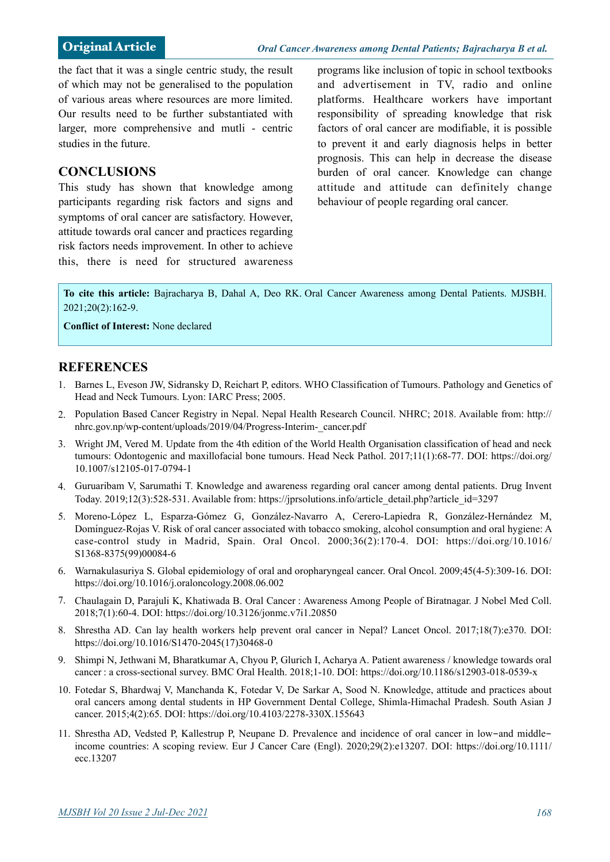the fact that it was a single centric study, the result of which may not be generalised to the population of various areas where resources are more limited. Our results need to be further substantiated with larger, more comprehensive and mutli - centric studies in the future.

### **CONCLUSIONS**

This study has shown that knowledge among participants regarding risk factors and signs and symptoms of oral cancer are satisfactory. However, attitude towards oral cancer and practices regarding risk factors needs improvement. In other to achieve this, there is need for structured awareness programs like inclusion of topic in school textbooks and advertisement in TV, radio and online platforms. Healthcare workers have important responsibility of spreading knowledge that risk factors of oral cancer are modifiable, it is possible to prevent it and early diagnosis helps in better prognosis. This can help in decrease the disease burden of oral cancer. Knowledge can change attitude and attitude can definitely change behaviour of people regarding oral cancer.

**To cite this article:** Bajracharya B, Dahal A, Deo RK. Oral Cancer Awareness among Dental Patients. MJSBH. 2021;20(2):162-9.

**Conflict of Interest:** None declared

#### **REFERENCES**

- 1. Barnes L, Eveson JW, Sidransky D, Reichart P, editors. WHO Classification of Tumours. Pathology and Genetics of Head and Neck Tumours. Lyon: IARC Press; 2005.
- 2. Population Based Cancer Registry in Nepal. Nepal Health Research Council. NHRC; 2018. Available from: http:// nhrc.gov.np/wp-content/uploads/2019/04/Progress-Interim-\_cancer.pdf
- 3. Wright JM, Vered M. Update from the 4th edition of the World Health Organisation classification of head and neck [tumours: Odontogenic and maxillofacial bone tumours. Head Neck Pathol. 2017;11\(1\):68-77. DOI: https://doi.org/](https://doi.org/10.1007/s12105-017-0794-1%22%20%5Ct%20%22_blank) 10.1007/s12105-017-0794-1
- 4. Guruaribam V, Sarumathi T. Knowledge and awareness regarding oral cancer among dental patients. Drug Invent Today. 2019;12(3):528-531. Available from: https://jprsolutions.info/article\_detail.php?article\_id=3297
- 5. Moreno-López L, Esparza-Gómez G, González-Navarro A, Cerero-Lapiedra R, González-Hernández M, Domínguez-Rojas V. Risk of oral cancer associated with tobacco smoking, alcohol consumption and oral hygiene: A [case-control study in Madrid, Spain. Oral Oncol. 2000;36\(2\):170-4. DOI: https://doi.org/10.1016/](https://doi.org/10.1016/S1368-8375(99)00084-6%22%20%5Ct%20%22_blank) S1368-8375(99)00084-6
- 6. Warnakulasuriya S. Global epidemiology of oral and oropharyngeal cancer. Oral Oncol. 2009;45(4-5):309-16. DOI: [https://doi.org/10.1016/j.oraloncology.2008.06.002](https://doi.org/10.1016/j.oraloncology.2008.06.002%22%20%5Ct%20%22_blank)
- 7. Chaulagain D, Parajuli K, Khatiwada B. Oral Cancer : Awareness Among People of Biratnagar. J Nobel Med Coll. 2018;7(1):60-4. DOI: [https://doi.org/10.3126/jonmc.v7i1.20850](https://doi.org/10.3126/jonmc.v7i1.20850%22%20%5Ct%20%22_blank)
- 8. Shrestha AD. Can lay health workers help prevent oral cancer in Nepal? Lancet Oncol. 2017;18(7):e370. DOI: [https://doi.org/10.1016/S1470-2045\(17\)30468-0](https://doi.org/10.1016/S1470-2045(17)30468-0%22%20%5Ct%20%22_blank)
- 9. Shimpi N, Jethwani M, Bharatkumar A, Chyou P, Glurich I, Acharya A. Patient awareness / knowledge towards oral cancer : a cross-sectional survey. BMC Oral Health. 2018;1-10. DOI: [https://doi.org/10.1186/s12903-018-0539-x](https://doi.org/10.1186/s12903-018-0539-x%22%20%5Ct%20%22_blank)
- 10. Fotedar S, Bhardwaj V, Manchanda K, Fotedar V, De Sarkar A, Sood N. Knowledge, attitude and practices about oral cancers among dental students in HP Government Dental College, Shimla-Himachal Pradesh. South Asian J cancer. 2015;4(2):65. DOI: [https://doi.org/10.4103/2278-330X.155643](https://doi.org/10.4103/2278-330X.155643%22%20%5Ct%20%22_blank)
- 11. Shrestha AD, Vedsted P, Kallestrup P, Neupane D. Prevalence and incidence of oral cancer in low-and middle[income countries: A scoping review. Eur J Cancer Care \(Engl\). 2020;29\(2\):e13207. DOI: https://doi.org/10.1111/](https://doi.org/10.1111/ecc.13207%22%20%5Ct%20%22_blank) ecc.13207